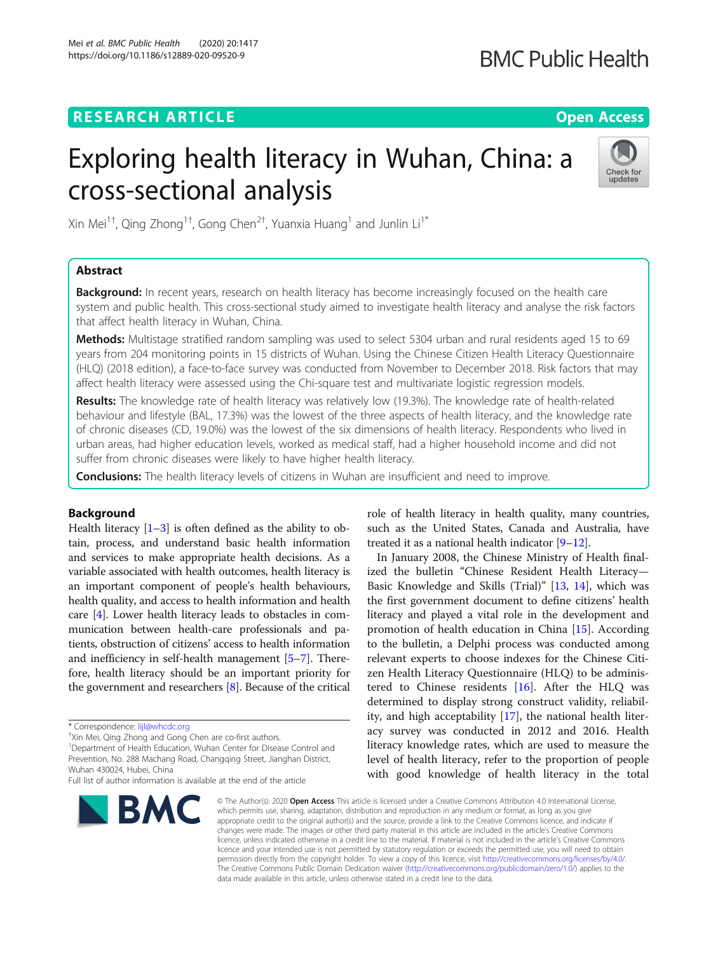## **RESEARCH ARTICLE Example 2014 12:30 The Open Access**

# Exploring health literacy in Wuhan, China: a cross-sectional analysis



Xin Mei $^{1\dagger}$ , Qing Zhong $^{1\dagger}$ , Gong Chen $^{2\dagger}$ , Yuanxia Huang $^{1}$  and Junlin Li $^{1*}$ 

## Abstract

**Background:** In recent years, research on health literacy has become increasingly focused on the health care system and public health. This cross-sectional study aimed to investigate health literacy and analyse the risk factors that affect health literacy in Wuhan, China.

Methods: Multistage stratified random sampling was used to select 5304 urban and rural residents aged 15 to 69 years from 204 monitoring points in 15 districts of Wuhan. Using the Chinese Citizen Health Literacy Questionnaire (HLQ) (2018 edition), a face-to-face survey was conducted from November to December 2018. Risk factors that may affect health literacy were assessed using the Chi-square test and multivariate logistic regression models.

Results: The knowledge rate of health literacy was relatively low (19.3%). The knowledge rate of health-related behaviour and lifestyle (BAL, 17.3%) was the lowest of the three aspects of health literacy, and the knowledge rate of chronic diseases (CD, 19.0%) was the lowest of the six dimensions of health literacy. Respondents who lived in urban areas, had higher education levels, worked as medical staff, had a higher household income and did not suffer from chronic diseases were likely to have higher health literacy.

**Conclusions:** The health literacy levels of citizens in Wuhan are insufficient and need to improve.

## Background

Health literacy  $[1-3]$  $[1-3]$  $[1-3]$  is often defined as the ability to obtain, process, and understand basic health information and services to make appropriate health decisions. As a variable associated with health outcomes, health literacy is an important component of people's health behaviours, health quality, and access to health information and health care [\[4\]](#page-7-0). Lower health literacy leads to obstacles in communication between health-care professionals and patients, obstruction of citizens' access to health information and inefficiency in self-health management [[5](#page-7-0)–[7](#page-7-0)]. Therefore, health literacy should be an important priority for the government and researchers [[8\]](#page-7-0). Because of the critical

<sup>1</sup>Department of Health Education, Wuhan Center for Disease Control and Prevention, No. 288 Machang Road, Changqing Street, Jianghan District, Wuhan 430024, Hubei, China

Full list of author information is available at the end of the article



role of health literacy in health quality, many countries, such as the United States, Canada and Australia, have treated it as a national health indicator [[9](#page-7-0)–[12\]](#page-7-0).

In January 2008, the Chinese Ministry of Health finalized the bulletin "Chinese Resident Health Literacy— Basic Knowledge and Skills (Trial)" [\[13,](#page-7-0) [14\]](#page-7-0), which was the first government document to define citizens' health literacy and played a vital role in the development and promotion of health education in China [[15](#page-8-0)]. According to the bulletin, a Delphi process was conducted among relevant experts to choose indexes for the Chinese Citizen Health Literacy Questionnaire (HLQ) to be administered to Chinese residents [[16\]](#page-8-0). After the HLQ was determined to display strong construct validity, reliability, and high acceptability [\[17\]](#page-8-0), the national health literacy survey was conducted in 2012 and 2016. Health literacy knowledge rates, which are used to measure the level of health literacy, refer to the proportion of people with good knowledge of health literacy in the total

© The Author(s), 2020 **Open Access** This article is licensed under a Creative Commons Attribution 4.0 International License, which permits use, sharing, adaptation, distribution and reproduction in any medium or format, as long as you give appropriate credit to the original author(s) and the source, provide a link to the Creative Commons licence, and indicate if changes were made. The images or other third party material in this article are included in the article's Creative Commons licence, unless indicated otherwise in a credit line to the material. If material is not included in the article's Creative Commons licence and your intended use is not permitted by statutory regulation or exceeds the permitted use, you will need to obtain permission directly from the copyright holder. To view a copy of this licence, visit [http://creativecommons.org/licenses/by/4.0/.](http://creativecommons.org/licenses/by/4.0/) The Creative Commons Public Domain Dedication waiver [\(http://creativecommons.org/publicdomain/zero/1.0/](http://creativecommons.org/publicdomain/zero/1.0/)) applies to the data made available in this article, unless otherwise stated in a credit line to the data.

<sup>\*</sup> Correspondence: [lijl@whcdc.org](mailto:lijl@whcdc.org) †

<sup>&</sup>lt;sup>†</sup>Xin Mei, Qing Zhong and Gong Chen are co-first authors.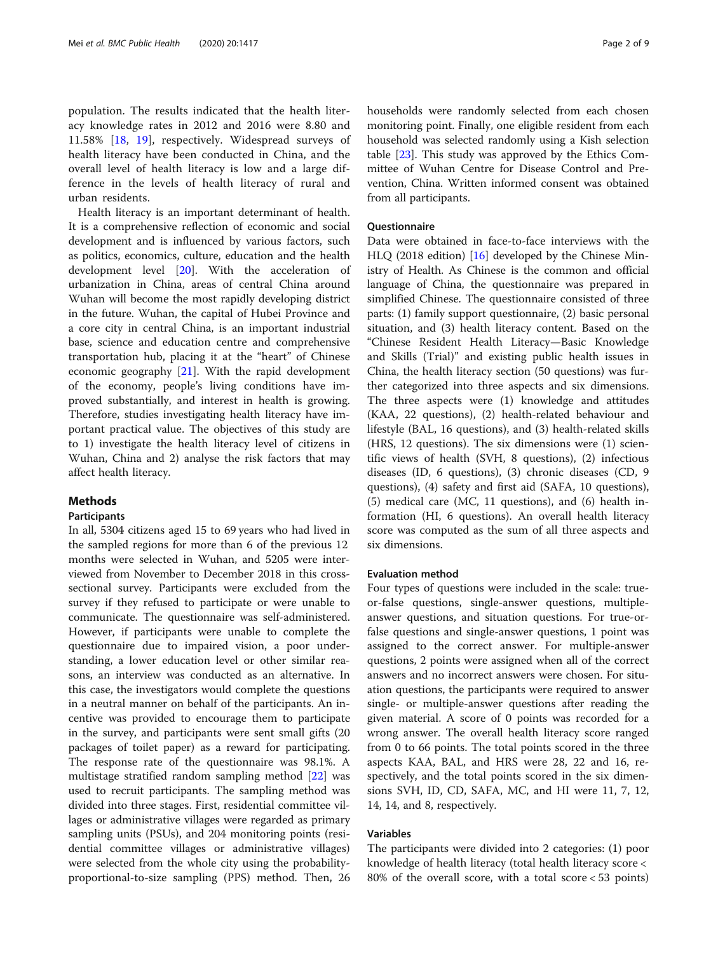population. The results indicated that the health literacy knowledge rates in 2012 and 2016 were 8.80 and 11.58% [[18,](#page-8-0) [19\]](#page-8-0), respectively. Widespread surveys of health literacy have been conducted in China, and the overall level of health literacy is low and a large difference in the levels of health literacy of rural and urban residents.

Health literacy is an important determinant of health. It is a comprehensive reflection of economic and social development and is influenced by various factors, such as politics, economics, culture, education and the health development level [[20\]](#page-8-0). With the acceleration of urbanization in China, areas of central China around Wuhan will become the most rapidly developing district in the future. Wuhan, the capital of Hubei Province and a core city in central China, is an important industrial base, science and education centre and comprehensive transportation hub, placing it at the "heart" of Chinese economic geography [\[21](#page-8-0)]. With the rapid development of the economy, people's living conditions have improved substantially, and interest in health is growing. Therefore, studies investigating health literacy have important practical value. The objectives of this study are to 1) investigate the health literacy level of citizens in Wuhan, China and 2) analyse the risk factors that may affect health literacy.

## Methods

## Participants

In all, 5304 citizens aged 15 to 69 years who had lived in the sampled regions for more than 6 of the previous 12 months were selected in Wuhan, and 5205 were interviewed from November to December 2018 in this crosssectional survey. Participants were excluded from the survey if they refused to participate or were unable to communicate. The questionnaire was self-administered. However, if participants were unable to complete the questionnaire due to impaired vision, a poor understanding, a lower education level or other similar reasons, an interview was conducted as an alternative. In this case, the investigators would complete the questions in a neutral manner on behalf of the participants. An incentive was provided to encourage them to participate in the survey, and participants were sent small gifts (20 packages of toilet paper) as a reward for participating. The response rate of the questionnaire was 98.1%. A multistage stratified random sampling method [\[22](#page-8-0)] was used to recruit participants. The sampling method was divided into three stages. First, residential committee villages or administrative villages were regarded as primary sampling units (PSUs), and 204 monitoring points (residential committee villages or administrative villages) were selected from the whole city using the probabilityproportional-to-size sampling (PPS) method. Then, 26 households were randomly selected from each chosen monitoring point. Finally, one eligible resident from each household was selected randomly using a Kish selection table [\[23\]](#page-8-0). This study was approved by the Ethics Committee of Wuhan Centre for Disease Control and Prevention, China. Written informed consent was obtained from all participants.

#### Questionnaire

Data were obtained in face-to-face interviews with the HLQ (2018 edition) [[16\]](#page-8-0) developed by the Chinese Ministry of Health. As Chinese is the common and official language of China, the questionnaire was prepared in simplified Chinese. The questionnaire consisted of three parts: (1) family support questionnaire, (2) basic personal situation, and (3) health literacy content. Based on the "Chinese Resident Health Literacy—Basic Knowledge and Skills (Trial)" and existing public health issues in China, the health literacy section (50 questions) was further categorized into three aspects and six dimensions. The three aspects were (1) knowledge and attitudes (KAA, 22 questions), (2) health-related behaviour and lifestyle (BAL, 16 questions), and (3) health-related skills (HRS, 12 questions). The six dimensions were (1) scientific views of health (SVH, 8 questions), (2) infectious diseases (ID, 6 questions), (3) chronic diseases (CD, 9 questions), (4) safety and first aid (SAFA, 10 questions), (5) medical care (MC, 11 questions), and (6) health information (HI, 6 questions). An overall health literacy score was computed as the sum of all three aspects and six dimensions.

## Evaluation method

Four types of questions were included in the scale: trueor-false questions, single-answer questions, multipleanswer questions, and situation questions. For true-orfalse questions and single-answer questions, 1 point was assigned to the correct answer. For multiple-answer questions, 2 points were assigned when all of the correct answers and no incorrect answers were chosen. For situation questions, the participants were required to answer single- or multiple-answer questions after reading the given material. A score of 0 points was recorded for a wrong answer. The overall health literacy score ranged from 0 to 66 points. The total points scored in the three aspects KAA, BAL, and HRS were 28, 22 and 16, respectively, and the total points scored in the six dimensions SVH, ID, CD, SAFA, MC, and HI were 11, 7, 12, 14, 14, and 8, respectively.

## Variables

The participants were divided into 2 categories: (1) poor knowledge of health literacy (total health literacy score < 80% of the overall score, with a total score < 53 points)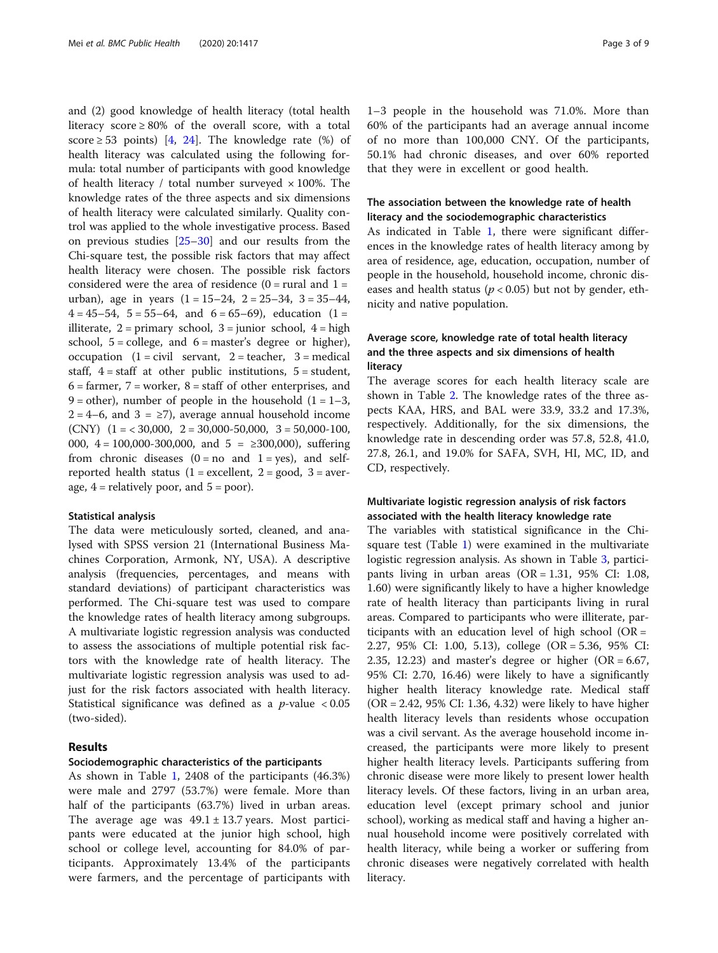and (2) good knowledge of health literacy (total health literacy score  $\geq 80\%$  of the overall score, with a total score  $\geq$  53 points) [[4](#page-7-0), [24\]](#page-8-0). The knowledge rate (%) of health literacy was calculated using the following formula: total number of participants with good knowledge of health literacy / total number surveyed  $\times$  100%. The knowledge rates of the three aspects and six dimensions of health literacy were calculated similarly. Quality control was applied to the whole investigative process. Based on previous studies [\[25](#page-8-0)–[30\]](#page-8-0) and our results from the Chi-square test, the possible risk factors that may affect health literacy were chosen. The possible risk factors considered were the area of residence  $(0 = \text{rural and } 1 =$ urban), age in years  $(1 = 15-24, 2 = 25-34, 3 = 35-44,$  $4 = 45-54$ ,  $5 = 55-64$ , and  $6 = 65-69$ , education  $(1 =$ illiterate,  $2 =$  primary school,  $3 =$  junior school,  $4 =$  high school,  $5 =$  college, and  $6 =$  master's degree or higher), occupation  $(1 = civil$  servant,  $2 = teacher$ ,  $3 = medical$ staff,  $4 = \text{staff}$  at other public institutions,  $5 = \text{student}$ ,  $6 =$  farmer,  $7 =$  worker,  $8 =$  staff of other enterprises, and 9 = other), number of people in the household  $(1 = 1-3, 1)$  $2 = 4-6$ , and  $3 = \ge 7$ ), average annual household income (CNY)  $(1 = 30,000, 2 = 30,000-50,000, 3 = 50,000-100,$ 000,  $4 = 100,000-300,000$ , and  $5 = \ge 300,000$ , suffering from chronic diseases  $(0 = no$  and  $1 = yes)$ , and selfreported health status  $(1 = \text{excellent}, 2 = \text{good}, 3 = \text{aver-}$ age,  $4$  = relatively poor, and  $5 = poor$ ).

#### Statistical analysis

The data were meticulously sorted, cleaned, and analysed with SPSS version 21 (International Business Machines Corporation, Armonk, NY, USA). A descriptive analysis (frequencies, percentages, and means with standard deviations) of participant characteristics was performed. The Chi-square test was used to compare the knowledge rates of health literacy among subgroups. A multivariate logistic regression analysis was conducted to assess the associations of multiple potential risk factors with the knowledge rate of health literacy. The multivariate logistic regression analysis was used to adjust for the risk factors associated with health literacy. Statistical significance was defined as a  $p$ -value  $< 0.05$ (two-sided).

## Results

### Sociodemographic characteristics of the participants

As shown in Table [1](#page-3-0), 2408 of the participants (46.3%) were male and 2797 (53.7%) were female. More than half of the participants (63.7%) lived in urban areas. The average age was  $49.1 \pm 13.7$  years. Most participants were educated at the junior high school, high school or college level, accounting for 84.0% of participants. Approximately 13.4% of the participants were farmers, and the percentage of participants with

1–3 people in the household was 71.0%. More than 60% of the participants had an average annual income of no more than 100,000 CNY. Of the participants, 50.1% had chronic diseases, and over 60% reported that they were in excellent or good health.

## The association between the knowledge rate of health literacy and the sociodemographic characteristics

As indicated in Table [1,](#page-3-0) there were significant differences in the knowledge rates of health literacy among by area of residence, age, education, occupation, number of people in the household, household income, chronic diseases and health status ( $p < 0.05$ ) but not by gender, ethnicity and native population.

## Average score, knowledge rate of total health literacy and the three aspects and six dimensions of health literacy

The average scores for each health literacy scale are shown in Table [2](#page-4-0). The knowledge rates of the three aspects KAA, HRS, and BAL were 33.9, 33.2 and 17.3%, respectively. Additionally, for the six dimensions, the knowledge rate in descending order was 57.8, 52.8, 41.0, 27.8, 26.1, and 19.0% for SAFA, SVH, HI, MC, ID, and CD, respectively.

## Multivariate logistic regression analysis of risk factors associated with the health literacy knowledge rate

The variables with statistical significance in the Chisquare test (Table [1](#page-3-0)) were examined in the multivariate logistic regression analysis. As shown in Table [3,](#page-5-0) participants living in urban areas  $(OR = 1.31, 95\% \text{ CI: } 1.08,$ 1.60) were significantly likely to have a higher knowledge rate of health literacy than participants living in rural areas. Compared to participants who were illiterate, participants with an education level of high school ( $OR =$ 2.27, 95% CI: 1.00, 5.13), college (OR = 5.36, 95% CI: 2.35, 12.23) and master's degree or higher  $(OR = 6.67,$ 95% CI: 2.70, 16.46) were likely to have a significantly higher health literacy knowledge rate. Medical staff (OR = 2.42, 95% CI: 1.36, 4.32) were likely to have higher health literacy levels than residents whose occupation was a civil servant. As the average household income increased, the participants were more likely to present higher health literacy levels. Participants suffering from chronic disease were more likely to present lower health literacy levels. Of these factors, living in an urban area, education level (except primary school and junior school), working as medical staff and having a higher annual household income were positively correlated with health literacy, while being a worker or suffering from chronic diseases were negatively correlated with health literacy.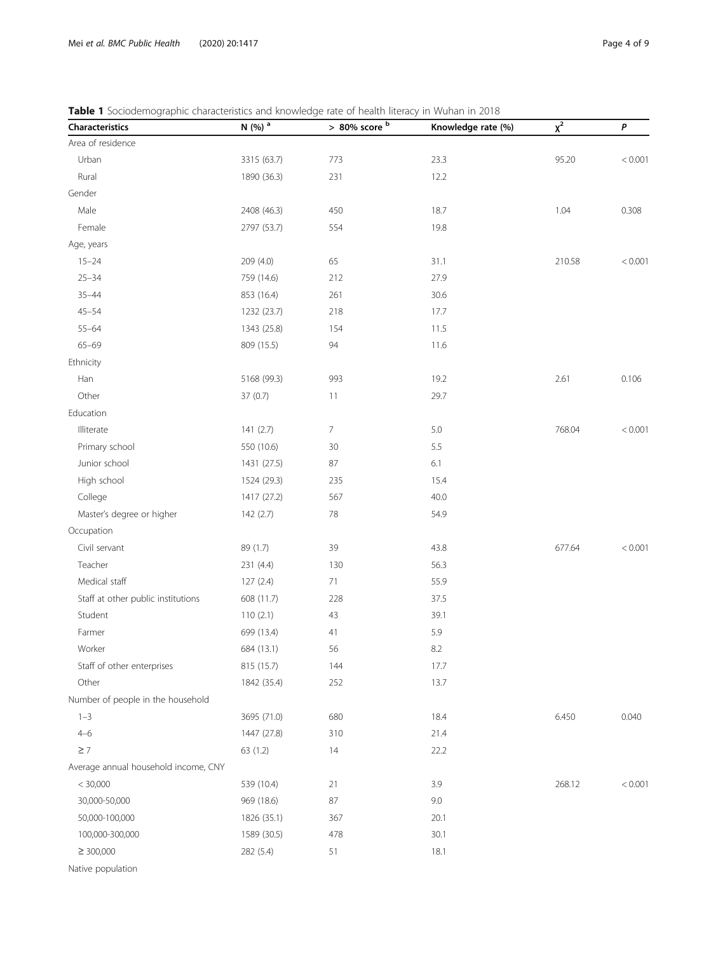| <b>Characteristics</b>               | N $(%)$ <sup>a</sup><br>$> 80\%$ score $^{\rm b}$ |                | Knowledge rate (%) | $\chi^2$ | P       |
|--------------------------------------|---------------------------------------------------|----------------|--------------------|----------|---------|
| Area of residence                    |                                                   |                |                    |          |         |
| Urban                                | 3315 (63.7)                                       | 773            | 23.3               | 95.20    | < 0.001 |
| Rural                                | 1890 (36.3)                                       | 231            | 12.2               |          |         |
| Gender                               |                                                   |                |                    |          |         |
| Male                                 | 2408 (46.3)                                       | 450            | 18.7               | 1.04     | 0.308   |
| Female                               | 2797 (53.7)                                       | 554            | 19.8               |          |         |
| Age, years                           |                                                   |                |                    |          |         |
| $15 - 24$                            | 209 (4.0)                                         | 65             | 31.1               | 210.58   | < 0.001 |
| $25 - 34$                            | 759 (14.6)                                        | 212            | 27.9               |          |         |
| $35 - 44$                            | 853 (16.4)                                        | 261            | 30.6               |          |         |
| $45 - 54$                            | 1232 (23.7)                                       | 218            | 17.7               |          |         |
| $55 - 64$                            | 1343 (25.8)                                       | 154            | 11.5               |          |         |
| $65 - 69$                            | 809 (15.5)                                        | 94             | 11.6               |          |         |
| Ethnicity                            |                                                   |                |                    |          |         |
| Han                                  | 5168 (99.3)                                       | 993            | 19.2               | 2.61     | 0.106   |
| Other                                | 37 (0.7)                                          | 11             | 29.7               |          |         |
| Education                            |                                                   |                |                    |          |         |
| Illiterate                           | 141(2.7)                                          | $\overline{7}$ | 5.0                | 768.04   | < 0.001 |
| Primary school                       | 550 (10.6)                                        | 30             | 5.5                |          |         |
| Junior school                        | 1431 (27.5)                                       | 87             | 6.1                |          |         |
| High school                          | 1524 (29.3)                                       | 235            | 15.4               |          |         |
| College                              | 1417 (27.2)                                       | 567            | 40.0               |          |         |
| Master's degree or higher            | 142(2.7)                                          | 78             | 54.9               |          |         |
| Occupation                           |                                                   |                |                    |          |         |
| Civil servant                        | 89 (1.7)                                          | 39             | 43.8               | 677.64   | < 0.001 |
| Teacher                              | 231 (4.4)                                         | 130            | 56.3               |          |         |
| Medical staff                        | 127(2.4)                                          | 71             | 55.9               |          |         |
| Staff at other public institutions   | 608 (11.7)                                        | 228            | 37.5               |          |         |
| Student                              | 110(2.1)                                          | 43             | 39.1               |          |         |
| Farmer                               | 699 (13.4)                                        | 41             | 5.9                |          |         |
| Worker                               | 684 (13.1)                                        | 56             | 8.2                |          |         |
| Staff of other enterprises           | 815 (15.7)                                        | 144            | 17.7               |          |         |
| Other                                | 1842 (35.4)                                       | 252            | 13.7               |          |         |
| Number of people in the household    |                                                   |                |                    |          |         |
| $1 - 3$                              | 3695 (71.0)                                       | 680            | 18.4               | 6.450    | 0.040   |
| $4 - 6$                              | 1447 (27.8)                                       | 310            | 21.4               |          |         |
| $\geq 7$                             | 63 (1.2)                                          | 14             | 22.2               |          |         |
| Average annual household income, CNY |                                                   |                |                    |          |         |
| < 30,000                             | 539 (10.4)                                        | 21             | 3.9                | 268.12   | < 0.001 |
| 30,000-50,000                        | 969 (18.6)                                        | 87             | 9.0                |          |         |
| 50,000-100,000                       | 1826 (35.1)                                       | 367            | 20.1               |          |         |
| 100,000-300,000                      | 1589 (30.5)                                       | 478            | 30.1               |          |         |
| $\geq 300,000$                       | 282 (5.4)                                         | 51             | 18.1               |          |         |
|                                      |                                                   |                |                    |          |         |

<span id="page-3-0"></span>Table 1 Sociodemographic characteristics and knowledge rate of health literacy in Wuhan in 2018

Native population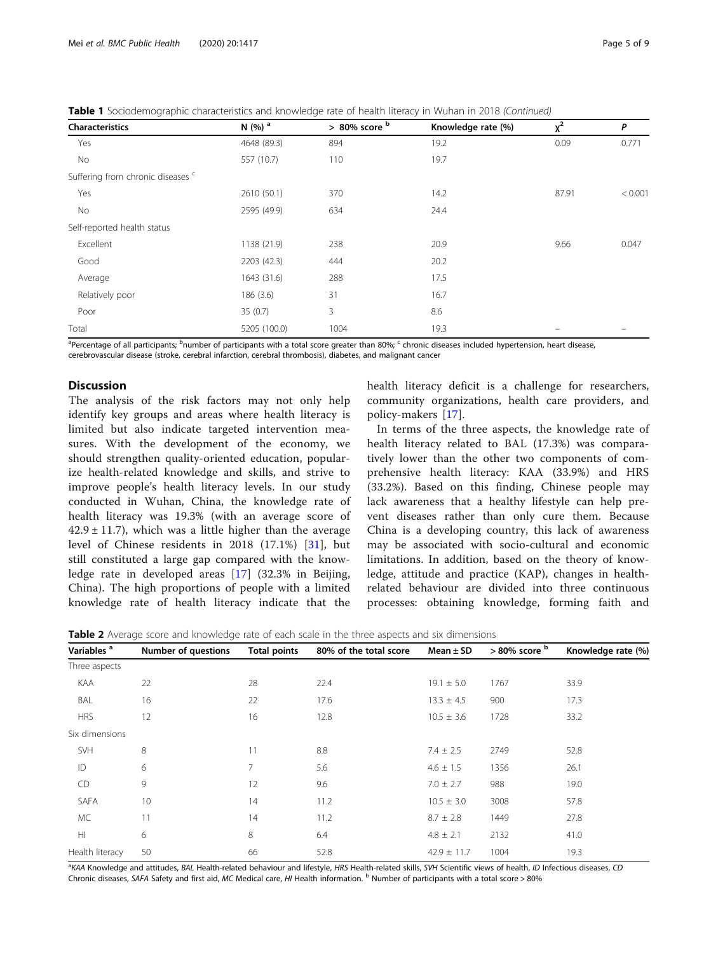<span id="page-4-0"></span>Table 1 Sociodemographic characteristics and knowledge rate of health literacy in Wuhan in 2018 (Continued)

| <b>Characteristics</b>            | N $(%)$ <sup>a</sup> | $> 80\%$ score $b$ | Knowledge rate (%) | $x^2$ | P       |  |
|-----------------------------------|----------------------|--------------------|--------------------|-------|---------|--|
| Yes                               | 4648 (89.3)          | 894                | 19.2               | 0.09  | 0.771   |  |
| No                                | 557 (10.7)           | 110                | 19.7               |       |         |  |
| Suffering from chronic diseases c |                      |                    |                    |       |         |  |
| Yes                               | 2610 (50.1)          | 370                | 14.2               | 87.91 | < 0.001 |  |
| No                                | 2595 (49.9)          | 634                | 24.4               |       |         |  |
| Self-reported health status       |                      |                    |                    |       |         |  |
| Excellent                         | 1138 (21.9)          | 238                | 20.9               | 9.66  | 0.047   |  |
| Good                              | 2203 (42.3)          | 444                | 20.2               |       |         |  |
| Average                           | 1643 (31.6)          | 288                | 17.5               |       |         |  |
| Relatively poor                   | 186(3.6)             | 31                 | 16.7               |       |         |  |
| Poor                              | 35(0.7)              | 3                  | 8.6                |       |         |  |
| Total                             | 5205 (100.0)         | 1004               | 19.3               |       |         |  |

<sup>a</sup>Percentage of all participants; <sup>b</sup>number of participants with a total score greater than 80%; <sup>c</sup> chronic diseases included hypertension, heart disease, cerebrovascular disease (stroke, cerebral infarction, cerebral thrombosis), diabetes, and malignant cancer

## **Discussion**

The analysis of the risk factors may not only help identify key groups and areas where health literacy is limited but also indicate targeted intervention measures. With the development of the economy, we should strengthen quality-oriented education, popularize health-related knowledge and skills, and strive to improve people's health literacy levels. In our study conducted in Wuhan, China, the knowledge rate of health literacy was 19.3% (with an average score of  $42.9 \pm 11.7$ , which was a little higher than the average level of Chinese residents in 2018 (17.1%) [[31\]](#page-8-0), but still constituted a large gap compared with the knowledge rate in developed areas [\[17](#page-8-0)] (32.3% in Beijing, China). The high proportions of people with a limited knowledge rate of health literacy indicate that the

health literacy deficit is a challenge for researchers, community organizations, health care providers, and policy-makers [\[17](#page-8-0)].

In terms of the three aspects, the knowledge rate of health literacy related to BAL (17.3%) was comparatively lower than the other two components of comprehensive health literacy: KAA (33.9%) and HRS (33.2%). Based on this finding, Chinese people may lack awareness that a healthy lifestyle can help prevent diseases rather than only cure them. Because China is a developing country, this lack of awareness may be associated with socio-cultural and economic limitations. In addition, based on the theory of knowledge, attitude and practice (KAP), changes in healthrelated behaviour are divided into three continuous processes: obtaining knowledge, forming faith and

Table 2 Average score and knowledge rate of each scale in the three aspects and six dimensions

| Variables <sup>a</sup> | <b>Number of questions</b> | <b>Total points</b> | 80% of the total score | Mean $\pm$ SD   | > 80% score b | Knowledge rate (%) |
|------------------------|----------------------------|---------------------|------------------------|-----------------|---------------|--------------------|
| Three aspects          |                            |                     |                        |                 |               |                    |
| KAA                    | 22                         | 28                  | 22.4                   | $19.1 \pm 5.0$  | 1767          | 33.9               |
| BAL                    | 16                         | 22                  | 17.6                   | $13.3 \pm 4.5$  | 900           | 17.3               |
| <b>HRS</b>             | 12                         | 16                  | 12.8                   | $10.5 \pm 3.6$  | 1728          | 33.2               |
| Six dimensions         |                            |                     |                        |                 |               |                    |
| SVH                    | 8                          | 11                  | 8.8                    | $7.4 \pm 2.5$   | 2749          | 52.8               |
| ID                     | 6                          | 7                   | 5.6                    | $4.6 \pm 1.5$   | 1356          | 26.1               |
| CD                     | 9                          | 12                  | 9.6                    | $7.0 \pm 2.7$   | 988           | 19.0               |
| SAFA                   | 10                         | 14                  | 11.2                   | $10.5 \pm 3.0$  | 3008          | 57.8               |
| MC                     | 11                         | 14                  | 11.2                   | $8.7 \pm 2.8$   | 1449          | 27.8               |
| H <sub>l</sub>         | 6                          | 8                   | 6.4                    | $4.8 \pm 2.1$   | 2132          | 41.0               |
| Health literacy        | 50                         | 66                  | 52.8                   | $42.9 \pm 11.7$ | 1004          | 19.3               |

<sup>a</sup>KAA Knowledge and attitudes, BAL Health-related behaviour and lifestyle, HRS Health-related skills, SVH Scientific views of health, ID Infectious diseases, CD Chronic diseases, SAFA Safety and first aid, MC Medical care, HI Health information. <sup>b</sup> Number of participants with a total score > 80%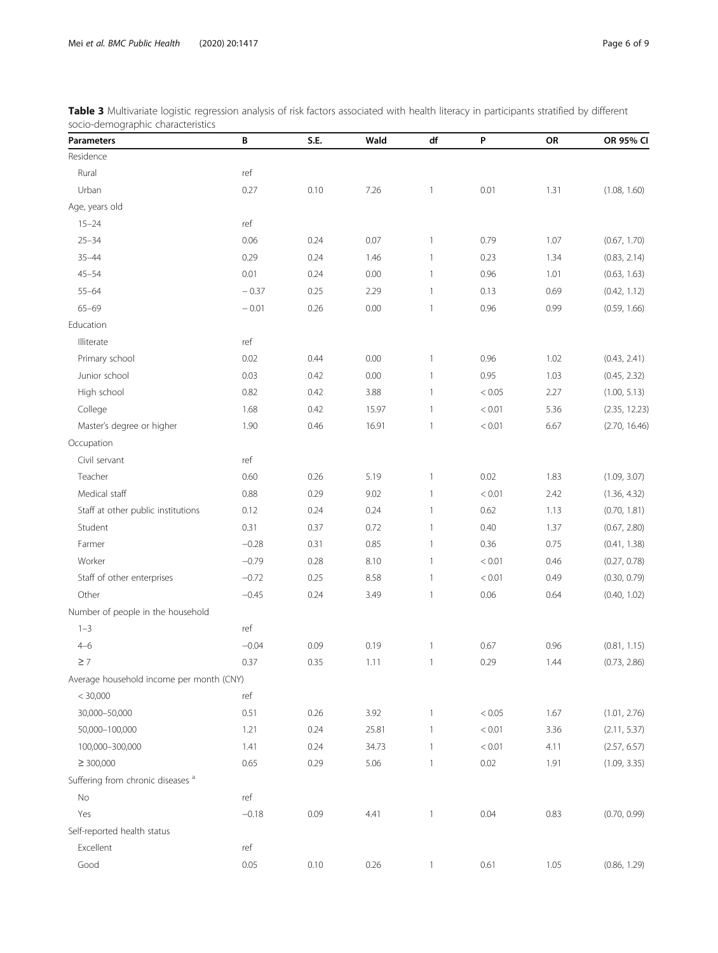<span id="page-5-0"></span>

| Table 3 Multivariate logistic regression analysis of risk factors associated with health literacy in participants stratified by different |  |  |  |  |
|-------------------------------------------------------------------------------------------------------------------------------------------|--|--|--|--|
| socio-demographic characteristics                                                                                                         |  |  |  |  |

| Parameters                               | В       | S.E. | Wald  | df           | P        | OR   | OR 95% CI     |
|------------------------------------------|---------|------|-------|--------------|----------|------|---------------|
| Residence                                |         |      |       |              |          |      |               |
| Rural                                    | ref     |      |       |              |          |      |               |
| Urban                                    | 0.27    | 0.10 | 7.26  | 1            | 0.01     | 1.31 | (1.08, 1.60)  |
| Age, years old                           |         |      |       |              |          |      |               |
| $15 - 24$                                | ref     |      |       |              |          |      |               |
| $25 - 34$                                | 0.06    | 0.24 | 0.07  | $\mathbf{1}$ | 0.79     | 1.07 | (0.67, 1.70)  |
| $35 - 44$                                | 0.29    | 0.24 | 1.46  | $\mathbf{1}$ | 0.23     | 1.34 | (0.83, 2.14)  |
| $45 - 54$                                | 0.01    | 0.24 | 0.00  | $\mathbf{1}$ | 0.96     | 1.01 | (0.63, 1.63)  |
| $55 - 64$                                | $-0.37$ | 0.25 | 2.29  | $\mathbf{1}$ | 0.13     | 0.69 | (0.42, 1.12)  |
| $65 - 69$                                | $-0.01$ | 0.26 | 0.00  | 1            | 0.96     | 0.99 | (0.59, 1.66)  |
| Education                                |         |      |       |              |          |      |               |
| Illiterate                               | ref     |      |       |              |          |      |               |
| Primary school                           | 0.02    | 0.44 | 0.00  | 1            | 0.96     | 1.02 | (0.43, 2.41)  |
| Junior school                            | 0.03    | 0.42 | 0.00  | $\mathbf{1}$ | 0.95     | 1.03 | (0.45, 2.32)  |
| High school                              | 0.82    | 0.42 | 3.88  | 1            | < 0.05   | 2.27 | (1.00, 5.13)  |
| College                                  | 1.68    | 0.42 | 15.97 | $\mathbf{1}$ | < 0.01   | 5.36 | (2.35, 12.23) |
| Master's degree or higher                | 1.90    | 0.46 | 16.91 | 1            | < 0.01   | 6.67 | (2.70, 16.46) |
| Occupation                               |         |      |       |              |          |      |               |
| Civil servant                            | ref     |      |       |              |          |      |               |
| Teacher                                  | 0.60    | 0.26 | 5.19  | $\mathbb{1}$ | 0.02     | 1.83 | (1.09, 3.07)  |
| Medical staff                            | 0.88    | 0.29 | 9.02  | 1            | < 0.01   | 2.42 | (1.36, 4.32)  |
| Staff at other public institutions       | 0.12    | 0.24 | 0.24  | $\mathbf{1}$ | 0.62     | 1.13 | (0.70, 1.81)  |
| Student                                  | 0.31    | 0.37 | 0.72  | $\mathbf{1}$ | 0.40     | 1.37 | (0.67, 2.80)  |
| Farmer                                   | $-0.28$ | 0.31 | 0.85  | $\mathbf{1}$ | 0.36     | 0.75 | (0.41, 1.38)  |
| Worker                                   | $-0.79$ | 0.28 | 8.10  | $\mathbf{1}$ | < 0.01   | 0.46 | (0.27, 0.78)  |
| Staff of other enterprises               | $-0.72$ | 0.25 | 8.58  | $\mathbf{1}$ | < 0.01   | 0.49 | (0.30, 0.79)  |
| Other                                    | $-0.45$ | 0.24 | 3.49  | 1            | 0.06     | 0.64 | (0.40, 1.02)  |
| Number of people in the household        |         |      |       |              |          |      |               |
| $1 - 3$                                  | ref     |      |       |              |          |      |               |
| $4 - 6$                                  | $-0.04$ | 0.09 | 0.19  | 1            | 0.67     | 0.96 | (0.81, 1.15)  |
| $\geq 7$                                 | 0.37    | 0.35 | 1.11  | 1            | 0.29     | 1.44 | (0.73, 2.86)  |
| Average household income per month (CNY) |         |      |       |              |          |      |               |
| < 30,000                                 | ref     |      |       |              |          |      |               |
| 30,000-50,000                            | 0.51    | 0.26 | 3.92  | 1            | $< 0.05$ | 1.67 | (1.01, 2.76)  |
| 50,000-100,000                           | 1.21    | 0.24 | 25.81 | $\mathbf{1}$ | < 0.01   | 3.36 | (2.11, 5.37)  |
| 100,000-300,000                          | 1.41    | 0.24 | 34.73 | $\mathbf{1}$ | < 0.01   | 4.11 | (2.57, 6.57)  |
| $\geq 300,000$                           | 0.65    | 0.29 | 5.06  | $\mathbf{1}$ | 0.02     | 1.91 | (1.09, 3.35)  |
| Suffering from chronic diseases a        |         |      |       |              |          |      |               |
| No                                       | ref     |      |       |              |          |      |               |
| Yes                                      | $-0.18$ | 0.09 | 4.41  | $\mathbf{1}$ | 0.04     | 0.83 | (0.70, 0.99)  |
| Self-reported health status              |         |      |       |              |          |      |               |
| Excellent                                | ref     |      |       |              |          |      |               |
| Good                                     | 0.05    | 0.10 | 0.26  | 1            | 0.61     | 1.05 | (0.86, 1.29)  |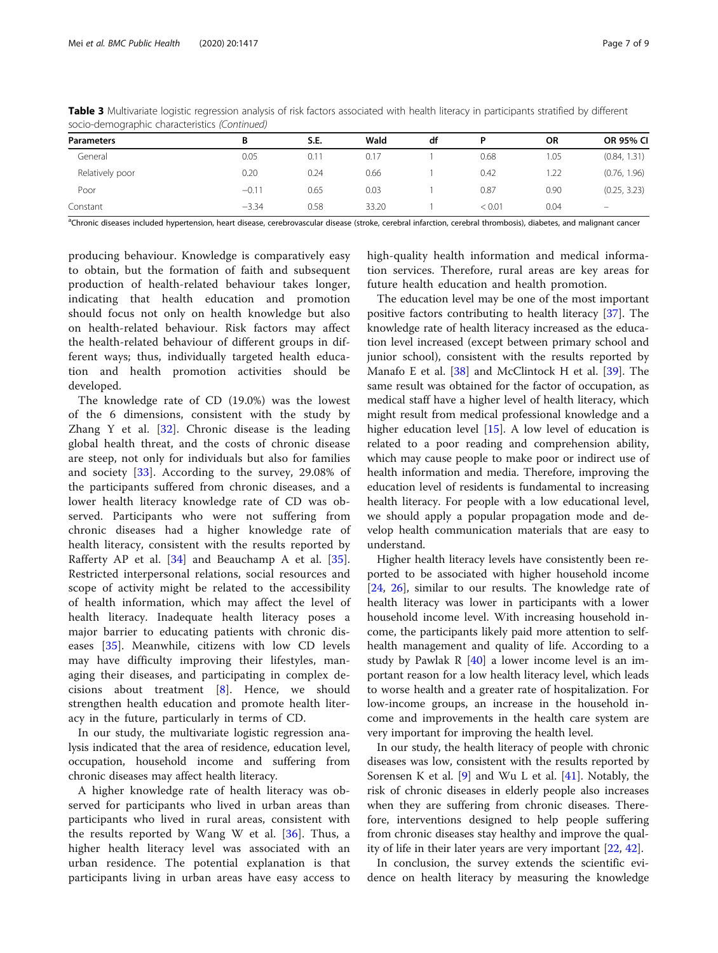| socio actriographic characteristics (continued) |         |      |       |    |        |      |                  |  |
|-------------------------------------------------|---------|------|-------|----|--------|------|------------------|--|
| <b>Parameters</b>                               | B       | S.E. | Wald  | df | D      | ΟR   | <b>OR 95% CI</b> |  |
| General                                         | 0.05    | 0.11 | 0.17  |    | 0.68   | 1.05 | (0.84, 1.31)     |  |
| Relatively poor                                 | 0.20    | 0.24 | 0.66  |    | 0.42   | 1.22 | (0.76, 1.96)     |  |
| Poor                                            | $-0.11$ | 0.65 | 0.03  |    | 0.87   | 0.90 | (0.25, 3.23)     |  |
| Constant                                        | $-3.34$ | 0.58 | 33.20 |    | < 0.01 | 0.04 | -                |  |

Table 3 Multivariate logistic regression analysis of risk factors associated with health literacy in participants stratified by different socio-demographic characteristics (Continued)

<sup>a</sup>Chronic diseases included hypertension, heart disease, cerebrovascular disease (stroke, cerebral infarction, cerebral thrombosis), diabetes, and malignant cancer

producing behaviour. Knowledge is comparatively easy to obtain, but the formation of faith and subsequent production of health-related behaviour takes longer, indicating that health education and promotion should focus not only on health knowledge but also on health-related behaviour. Risk factors may affect the health-related behaviour of different groups in different ways; thus, individually targeted health education and health promotion activities should be developed.

The knowledge rate of CD (19.0%) was the lowest of the 6 dimensions, consistent with the study by Zhang Y et al. [\[32](#page-8-0)]. Chronic disease is the leading global health threat, and the costs of chronic disease are steep, not only for individuals but also for families and society [[33\]](#page-8-0). According to the survey, 29.08% of the participants suffered from chronic diseases, and a lower health literacy knowledge rate of CD was observed. Participants who were not suffering from chronic diseases had a higher knowledge rate of health literacy, consistent with the results reported by Rafferty AP et al. [[34\]](#page-8-0) and Beauchamp A et al. [\[35](#page-8-0)]. Restricted interpersonal relations, social resources and scope of activity might be related to the accessibility of health information, which may affect the level of health literacy. Inadequate health literacy poses a major barrier to educating patients with chronic diseases [[35\]](#page-8-0). Meanwhile, citizens with low CD levels may have difficulty improving their lifestyles, managing their diseases, and participating in complex decisions about treatment [\[8](#page-7-0)]. Hence, we should strengthen health education and promote health literacy in the future, particularly in terms of CD.

In our study, the multivariate logistic regression analysis indicated that the area of residence, education level, occupation, household income and suffering from chronic diseases may affect health literacy.

A higher knowledge rate of health literacy was observed for participants who lived in urban areas than participants who lived in rural areas, consistent with the results reported by Wang W et al. [\[36](#page-8-0)]. Thus, a higher health literacy level was associated with an urban residence. The potential explanation is that participants living in urban areas have easy access to high-quality health information and medical information services. Therefore, rural areas are key areas for future health education and health promotion.

The education level may be one of the most important positive factors contributing to health literacy [\[37](#page-8-0)]. The knowledge rate of health literacy increased as the education level increased (except between primary school and junior school), consistent with the results reported by Manafo E et al. [[38\]](#page-8-0) and McClintock H et al. [\[39](#page-8-0)]. The same result was obtained for the factor of occupation, as medical staff have a higher level of health literacy, which might result from medical professional knowledge and a higher education level  $[15]$  $[15]$  $[15]$ . A low level of education is related to a poor reading and comprehension ability, which may cause people to make poor or indirect use of health information and media. Therefore, improving the education level of residents is fundamental to increasing health literacy. For people with a low educational level, we should apply a popular propagation mode and develop health communication materials that are easy to understand.

Higher health literacy levels have consistently been reported to be associated with higher household income [[24,](#page-8-0) [26](#page-8-0)], similar to our results. The knowledge rate of health literacy was lower in participants with a lower household income level. With increasing household income, the participants likely paid more attention to selfhealth management and quality of life. According to a study by Pawlak R  $[40]$  $[40]$  $[40]$  a lower income level is an important reason for a low health literacy level, which leads to worse health and a greater rate of hospitalization. For low-income groups, an increase in the household income and improvements in the health care system are very important for improving the health level.

In our study, the health literacy of people with chronic diseases was low, consistent with the results reported by Sorensen K et al. [\[9\]](#page-7-0) and Wu L et al. [[41\]](#page-8-0). Notably, the risk of chronic diseases in elderly people also increases when they are suffering from chronic diseases. Therefore, interventions designed to help people suffering from chronic diseases stay healthy and improve the quality of life in their later years are very important [\[22,](#page-8-0) [42\]](#page-8-0).

In conclusion, the survey extends the scientific evidence on health literacy by measuring the knowledge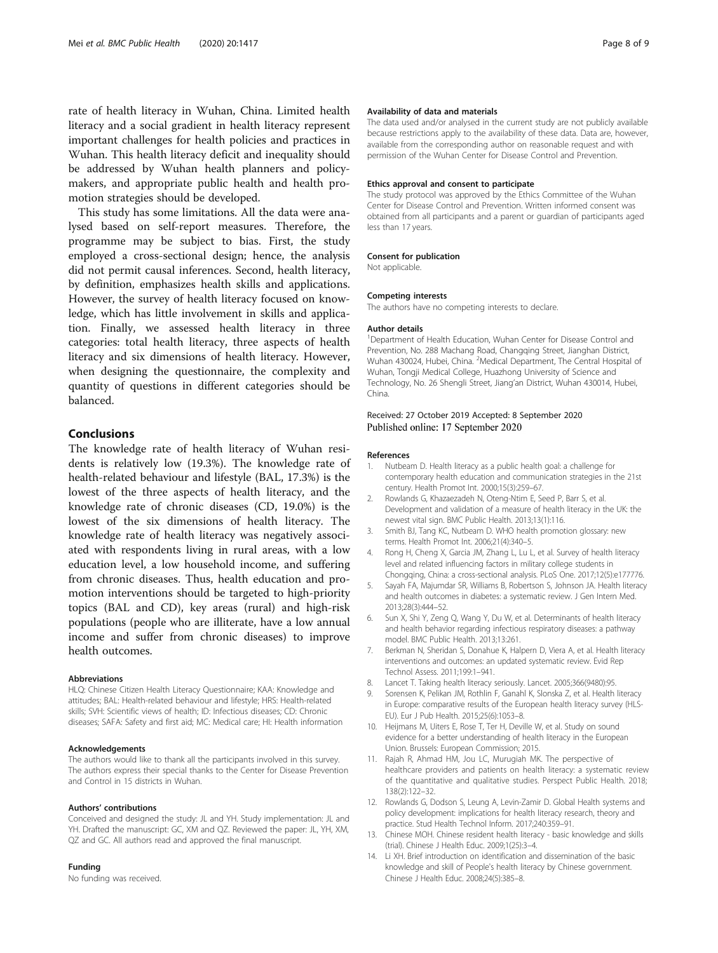<span id="page-7-0"></span>rate of health literacy in Wuhan, China. Limited health literacy and a social gradient in health literacy represent important challenges for health policies and practices in Wuhan. This health literacy deficit and inequality should be addressed by Wuhan health planners and policymakers, and appropriate public health and health promotion strategies should be developed.

This study has some limitations. All the data were analysed based on self-report measures. Therefore, the programme may be subject to bias. First, the study employed a cross-sectional design; hence, the analysis did not permit causal inferences. Second, health literacy, by definition, emphasizes health skills and applications. However, the survey of health literacy focused on knowledge, which has little involvement in skills and application. Finally, we assessed health literacy in three categories: total health literacy, three aspects of health literacy and six dimensions of health literacy. However, when designing the questionnaire, the complexity and quantity of questions in different categories should be balanced.

## Conclusions

The knowledge rate of health literacy of Wuhan residents is relatively low (19.3%). The knowledge rate of health-related behaviour and lifestyle (BAL, 17.3%) is the lowest of the three aspects of health literacy, and the knowledge rate of chronic diseases (CD, 19.0%) is the lowest of the six dimensions of health literacy. The knowledge rate of health literacy was negatively associated with respondents living in rural areas, with a low education level, a low household income, and suffering from chronic diseases. Thus, health education and promotion interventions should be targeted to high-priority topics (BAL and CD), key areas (rural) and high-risk populations (people who are illiterate, have a low annual income and suffer from chronic diseases) to improve health outcomes.

#### Abbreviations

HLQ: Chinese Citizen Health Literacy Questionnaire; KAA: Knowledge and attitudes; BAL: Health-related behaviour and lifestyle; HRS: Health-related skills; SVH: Scientific views of health; ID: Infectious diseases; CD: Chronic diseases; SAFA: Safety and first aid; MC: Medical care; HI: Health information

#### Acknowledgements

The authors would like to thank all the participants involved in this survey. The authors express their special thanks to the Center for Disease Prevention and Control in 15 districts in Wuhan.

#### Authors' contributions

Conceived and designed the study: JL and YH. Study implementation: JL and YH. Drafted the manuscript: GC, XM and QZ. Reviewed the paper: JL, YH, XM, QZ and GC. All authors read and approved the final manuscript.

## Funding

No funding was received.

#### Availability of data and materials

The data used and/or analysed in the current study are not publicly available because restrictions apply to the availability of these data. Data are, however, available from the corresponding author on reasonable request and with permission of the Wuhan Center for Disease Control and Prevention.

#### Ethics approval and consent to participate

The study protocol was approved by the Ethics Committee of the Wuhan Center for Disease Control and Prevention. Written informed consent was obtained from all participants and a parent or guardian of participants aged less than 17 years.

#### Consent for publication

Not applicable.

#### Competing interests

The authors have no competing interests to declare.

#### Author details

<sup>1</sup>Department of Health Education, Wuhan Center for Disease Control and Prevention, No. 288 Machang Road, Changqing Street, Jianghan District, Wuhan 430024, Hubei, China. <sup>2</sup>Medical Department, The Central Hospital of Wuhan, Tongji Medical College, Huazhong University of Science and Technology, No. 26 Shengli Street, Jiang'an District, Wuhan 430014, Hubei, China.

## Received: 27 October 2019 Accepted: 8 September 2020 Published online: 17 September 2020

#### References

- 1. Nutbeam D. Health literacy as a public health goal: a challenge for contemporary health education and communication strategies in the 21st century. Health Promot Int. 2000;15(3):259–67.
- 2. Rowlands G, Khazaezadeh N, Oteng-Ntim E, Seed P, Barr S, et al. Development and validation of a measure of health literacy in the UK: the newest vital sign. BMC Public Health. 2013;13(1):116.
- 3. Smith BJ, Tang KC, Nutbeam D. WHO health promotion glossary: new terms. Health Promot Int. 2006;21(4):340–5.
- 4. Rong H, Cheng X, Garcia JM, Zhang L, Lu L, et al. Survey of health literacy level and related influencing factors in military college students in Chongqing, China: a cross-sectional analysis. PLoS One. 2017;12(5):e177776.
- 5. Sayah FA, Majumdar SR, Williams B, Robertson S, Johnson JA. Health literacy and health outcomes in diabetes: a systematic review. J Gen Intern Med. 2013;28(3):444–52.
- 6. Sun X, Shi Y, Zeng Q, Wang Y, Du W, et al. Determinants of health literacy and health behavior regarding infectious respiratory diseases: a pathway model. BMC Public Health. 2013;13:261.
- 7. Berkman N, Sheridan S, Donahue K, Halpern D, Viera A, et al. Health literacy interventions and outcomes: an updated systematic review. Evid Rep Technol Assess. 2011;199:1–941.
- 8. Lancet T. Taking health literacy seriously. Lancet. 2005;366(9480):95.
- 9. Sorensen K, Pelikan JM, Rothlin F, Ganahl K, Slonska Z, et al. Health literacy in Europe: comparative results of the European health literacy survey (HLS-EU). Eur J Pub Health. 2015;25(6):1053–8.
- 10. Heijmans M, Uiters E, Rose T, Ter H, Deville W, et al. Study on sound evidence for a better understanding of health literacy in the European Union. Brussels: European Commission; 2015.
- 11. Rajah R, Ahmad HM, Jou LC, Murugiah MK. The perspective of healthcare providers and patients on health literacy: a systematic review of the quantitative and qualitative studies. Perspect Public Health. 2018; 138(2):122–32.
- 12. Rowlands G, Dodson S, Leung A, Levin-Zamir D. Global Health systems and policy development: implications for health literacy research, theory and practice. Stud Health Technol Inform. 2017;240:359–91.
- 13. Chinese MOH. Chinese resident health literacy basic knowledge and skills (trial). Chinese J Health Educ. 2009;1(25):3–4.
- 14. Li XH. Brief introduction on identification and dissemination of the basic knowledge and skill of People's health literacy by Chinese government. Chinese J Health Educ. 2008;24(5):385–8.